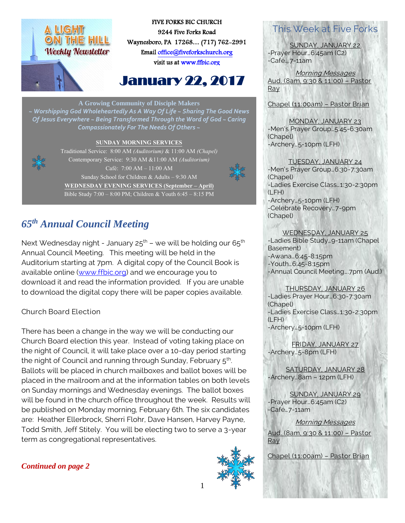# ON THE HILL **Weekly Newsletter**



FIVE FORKS BIC CHURCH 9244 Five Forks Road Waynesboro, PA 17268… (717) 762-2991 Emai[l office@fiveforkschurch.org](mailto:office@fiveforkschurch.org)  visit us a[t www.ffbic.org](http://www.ffbic.org/) 

# January 22, 2017

#### **A Growing Community of Disciple Makers**

*~ Worshipping God Wholeheartedly As A Way Of Life ~ Sharing The Good News Of Jesus Everywhere ~ Being Transformed Through the Word of God ~ Caring Compassionately For The Needs Of Others ~*

#### **SUNDAY MORNING SERVICES**



Traditional Service: 8:00 AM *(Auditorium)* & 11:00 AM *(Chapel)* Contemporary Service: 9:30 AM &11:00 AM *(Auditorium)* Café: 7:00 AM – 11:00 AM Sunday School for Children & Adults – 9:30 AM **WEDNESDAY EVENING SERVICES (September – April)** Bible Study 7:00 – 8:00 PM; Children & Youth 6:45 – 8:15 PM

# *65th Annual Council Meeting*

Next Wednesday night - January  $25^{th}$  – we will be holding our 6 $5^{th}$ Annual Council Meeting. This meeting will be held in the Auditorium starting at 7pm. A digital copy of the Council Book is available online [\(www.ffbic.org\)](http://www.ffbic.org/) and we encourage you to download it and read the information provided. If you are unable to download the digital copy there will be paper copies available.

### Church Board Election

There has been a change in the way we will be conducting our Church Board election this year. Instead of voting taking place on the night of Council, it will take place over a 10-day period starting the night of Council and running through Sunday, February 5<sup>th</sup>. Ballots will be placed in church mailboxes and ballot boxes will be placed in the mailroom and at the information tables on both levels on Sunday mornings and Wednesday evenings. The ballot boxes will be found in the church office throughout the week. Results will be published on Monday morning, February 6th. The six candidates are: Heather Ellerbrock, Sherri Flohr, Dave Hansen, Harvey Payne, Todd Smith, Jeff Stitely. You will be electing two to serve a 3-year term as congregational representatives.

### *Continued on page 2*



# This Week at Five Forks

SUNDAY, JANUARY 22 -Prayer Hour…6:45am (C2) -Café….7-11am

Morning Messages Aud. (8am, 9:30 & 11:00) – Pastor Ray

Chapel (11:00am) – Pastor Brian

MONDAY, JANUARY 23 -Men's Prayer Group…5:45-6:30am (Chapel) -Archery…5-10pm (LFH)

TUESDAY, JANUARY 24 -Men's Prayer Group…6:30-7:30am (Chapel) -Ladies Exercise Class…1:30-2:30pm (LFH) -Archery…5-10pm (LFH) -Celebrate Recovery…7-9pm (Chapel)

### WEDNESDAY, JANUARY 25

-Ladies Bible Study…9-11am (Chapel Basement) -Awana…6:45-8:15pm -Youth…6:45-8:15pm -Annual Council Meeting….7pm (Aud.)

#### THURSDAY, JANUARY 26

-Ladies Prayer Hour…6:30-7:30am (Chapel) -Ladies Exercise Class…1:30-2:30pm (LFH) -Archery…5-10pm (LFH)

FRIDAY, JANUARY 27 -Archery…5-8pm (LFH)

SATURDAY, JANUARY 28 -Archery…8am – 12pm (LFH)

SUNDAY, JANUARY 29 -Prayer Hour…6:45am (C2) -Café…7-11am

Morning Messages Aud. (8am, 9:30 & 11:00) – Pastor Ray

Chapel (11:00am) – Pastor Brian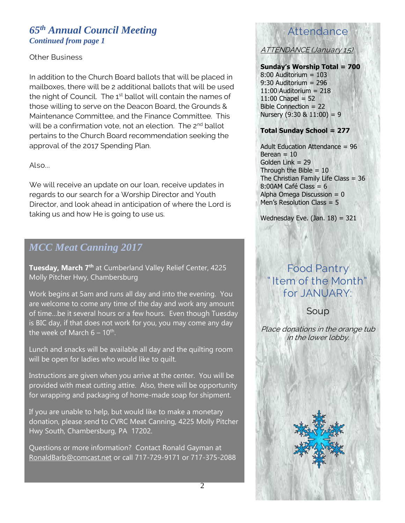## *65th Annual Council Meeting Continued from page 1*

#### Other Business

In addition to the Church Board ballots that will be placed in mailboxes, there will be 2 additional ballots that will be used the night of Council. The 1<sup>st</sup> ballot will contain the names of those willing to serve on the Deacon Board, the Grounds & Maintenance Committee, and the Finance Committee. This will be a confirmation vote, not an election. The 2<sup>nd</sup> ballot pertains to the Church Board recommendation seeking the approval of the 2017 Spending Plan.

### Also...

We will receive an update on our loan, receive updates in regards to our search for a Worship Director and Youth Director, and look ahead in anticipation of where the Lord is taking us and how He is going to use us.

## *MCC Meat Canning 2017*

**Tuesday, March 7th** at Cumberland Valley Relief Center, 4225 Molly Pitcher Hwy, Chambersburg

Work begins at 5am and runs all day and into the evening. You are welcome to come any time of the day and work any amount of time…be it several hours or a few hours. Even though Tuesday is BIC day, if that does not work for you, you may come any day the week of March  $6$  –  $10^{\text{th}}$ .

Lunch and snacks will be available all day and the quilting room will be open for ladies who would like to quilt.

Instructions are given when you arrive at the center. You will be provided with meat cutting attire. Also, there will be opportunity for wrapping and packaging of home-made soap for shipment.

If you are unable to help, but would like to make a monetary donation, please send to CVRC Meat Canning, 4225 Molly Pitcher Hwy South, Chambersburg, PA 17202.

Questions or more information? Contact Ronald Gayman at [RonaldBarb@comcast.net](mailto:RonaldBarb@comcast.net) or call 717-729-9171 or 717-375-2088

# Attendance

ATTENDANCE (January 15)

#### **Sunday's Worship Total = 700**

8:00 Auditorium = 103 9:30 Auditorium = 296  $11:00$  Auditorium = 218  $11:00$  Chapel = 52 Bible Connection = 22 Nursery  $(9:30 \& 11:00) = 9$ 

#### **Total Sunday School = 277**

Adult Education Attendance = 96  $Berean = 10$ Golden Link = 29 Through the Bible  $= 10$ The Christian Family Life Class = 36  $8:00$ AM Café Class = 6 Alpha Omega Discussion  $= 0$ Men's Resolution Class = 5

Wednesday Eve.  $(Jan. 18) = 321$ 

# Food Pantry " Item of the Month" for JANUARY:

Soup

Place donations in the orange tub in the lower lobby.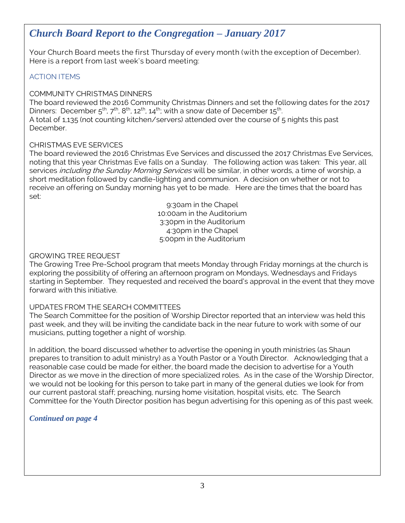# *Church Board Report to the Congregation – January 2017*

Your Church Board meets the first Thursday of every month (with the exception of December). Here is a report from last week's board meeting:

### ACTION ITEMS

### COMMUNITY CHRISTMAS DINNERS

The board reviewed the 2016 Community Christmas Dinners and set the following dates for the 2017 Dinners: December  $5^{th}$ ,  $7^{th}$ ,  $8^{th}$ ,  $12^{th}$ ,  $14^{th}$ ; with a snow date of December  $15^{th}$ . . A total of 1,135 (not counting kitchen/servers) attended over the course of 5 nights this past December.

### CHRISTMAS EVE SERVICES

The board reviewed the 2016 Christmas Eve Services and discussed the 2017 Christmas Eve Services, noting that this year Christmas Eve falls on a Sunday. The following action was taken: This year, all services *including the Sunday Morning Services* will be similar, in other words, a time of worship, a short meditation followed by candle-lighting and communion. A decision on whether or not to receive an offering on Sunday morning has yet to be made. Here are the times that the board has set:

> 9:30am in the Chapel 10:00am in the Auditorium 3:30pm in the Auditorium 4:30pm in the Chapel 5:00pm in the Auditorium

#### GROWING TREE REQUEST

The Growing Tree Pre-School program that meets Monday through Friday mornings at the church is exploring the possibility of offering an afternoon program on Mondays, Wednesdays and Fridays starting in September. They requested and received the board's approval in the event that they move forward with this initiative.

### UPDATES FROM THE SEARCH COMMITTEES

The Search Committee for the position of Worship Director reported that an interview was held this past week, and they will be inviting the candidate back in the near future to work with some of our musicians, putting together a night of worship.

In addition, the board discussed whether to advertise the opening in youth ministries (as Shaun prepares to transition to adult ministry) as a Youth Pastor or a Youth Director. Acknowledging that a reasonable case could be made for either, the board made the decision to advertise for a Youth Director as we move in the direction of more specialized roles. As in the case of the Worship Director, we would not be looking for this person to take part in many of the general duties we look for from our current pastoral staff; preaching, nursing home visitation, hospital visits, etc. The Search Committee for the Youth Director position has begun advertising for this opening as of this past week.

### *Continued on page 4*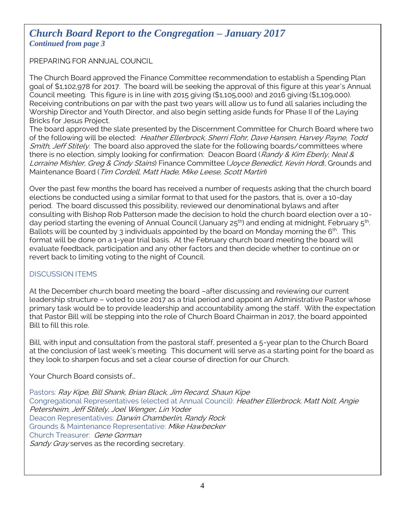## *Church Board Report to the Congregation – January 2017 Continued from page 3*

PREPARING FOR ANNUAL COUNCIL

The Church Board approved the Finance Committee recommendation to establish a Spending Plan goal of \$1,102,978 for 2017. The board will be seeking the approval of this figure at this year's Annual Council meeting. This figure is in line with 2015 giving (\$1,105,000) and 2016 giving (\$1,109,000). Receiving contributions on par with the past two years will allow us to fund all salaries including the Worship Director and Youth Director, and also begin setting aside funds for Phase II of the Laying Bricks for Jesus Project.

The board approved the slate presented by the Discernment Committee for Church Board where two of the following will be elected: Heather Ellerbrock, Sherri Flohr, Dave Hansen, Harvey Payne, Todd Smith, Jeff Stitely. The board also approved the slate for the following boards/committees where there is no election, simply looking for confirmation: Deacon Board (Randy & Kim Eberly, Neal & Lorraine Mishler, Greg & Cindy Stains) Finance Committee (Joyce Benedict, Kevin Hord), Grounds and Maintenance Board (Tim Cordell, Matt Hade, Mike Leese, Scott Martin)

Over the past few months the board has received a number of requests asking that the church board elections be conducted using a similar format to that used for the pastors, that is, over a 10-day period. The board discussed this possibility, reviewed our denominational bylaws and after consulting with Bishop Rob Patterson made the decision to hold the church board election over a 10 day period starting the evening of Annual Council (January 25<sup>th</sup>) and ending at midnight, February 5<sup>th</sup>. Ballots will be counted by 3 individuals appointed by the board on Monday morning the  $6<sup>th</sup>$ . This format will be done on a 1-year trial basis. At the February church board meeting the board will evaluate feedback, participation and any other factors and then decide whether to continue on or revert back to limiting voting to the night of Council.

### DISCUSSION ITEMS

At the December church board meeting the board –after discussing and reviewing our current leadership structure – voted to use 2017 as a trial period and appoint an Administrative Pastor whose primary task would be to provide leadership and accountability among the staff. With the expectation that Pastor Bill will be stepping into the role of Church Board Chairman in 2017, the board appointed Bill to fill this role.

Bill, with input and consultation from the pastoral staff, presented a 5-year plan to the Church Board at the conclusion of last week's meeting. This document will serve as a starting point for the board as they look to sharpen focus and set a clear course of direction for our Church.

Your Church Board consists of…

Pastors: Ray Kipe, Bill Shank, Brian Black, Jim Recard, Shaun Kipe Congregational Representatives (elected at Annual Council): Heather Ellerbrock, Matt Nolt, Angie Petersheim, Jeff Stitely, Joel Wenger, Lin Yoder Deacon Representatives: Darwin Chamberlin, Randy Rock Grounds & Maintenance Representative: Mike Hawbecker Church Treasurer: Gene Gorman Sandy Gray serves as the recording secretary.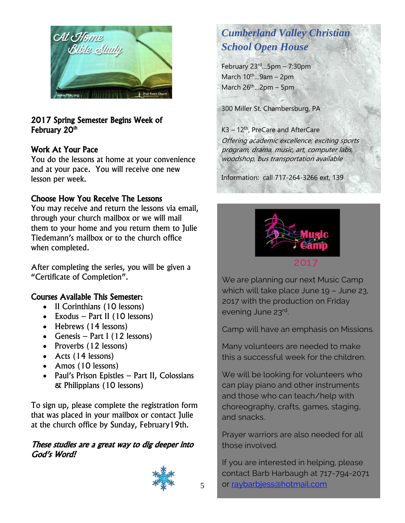

### 2017 Spring Semester Begins Week of February 20<sup>th</sup>

### Work At Your Pace

You do the lessons at home at your convenience and at your pace. You will receive one new lesson per week.

### Choose How You Receive The Lessons

You may receive and return the lessons via email, through your church mailbox or we will mail them to your home and you return them to Julie Tiedemann's mailbox or to the church office when completed.

After completing the series, you will be given a "Certificate of Completion".

### Courses Available This Semester:

- Il Corinthians (10 lessons)
- Exodus Part II (10 lessons)
- Hebrews (14 lessons)
- Genesis Part I (12 lessons)
- Proverbs (12 lessons)
- Acts (14 lessons)
- Amos (10 lessons)
- Paul's Prison Epistles Part II, Colossians & Philippians (10 lessons)

To sign up, please complete the registration form that was placed in your mailbox or contact Julie at the church office by Sunday, February19th.

### These studies are a great way to dig deeper into God's Word!



# *Cumberland Valley Christian School Open House*

February 23rd…5pm – 7:30pm March  $10^{th}$ ...9am – 2pm March  $26<sup>th</sup>...2pm - 5pm$ 

300 Miller St. Chambersburg, PA

K3 – 12th, PreCare and AfterCare Offering academic excellence; exciting sports program, drama, music, art, computer labs, woodshop, bus transportation available

Information: call 717-264-3266 ext, 139



We are planning our next Music Camp which will take place June 19 – June 23, 2017 with the production on Friday evening June 23<sup>rd</sup>.

Camp will have an emphasis on Missions.

Many volunteers are needed to make this a successful week for the children.

We will be looking for volunteers who can play piano and other instruments and those who can teach/help with choreography, crafts, games, staging, and snacks.

Prayer warriors are also needed for all those involved.

If you are interested in helping, please contact Barb Harbaugh at 717-794-2071 or [raybarbjess@hotmail.com](mailto:raybarbjess@hotmail.com)

5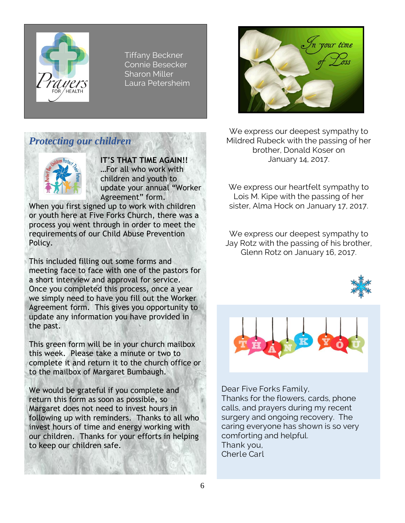

Tiffany Beckner Connie Besecker Sharon Miller Laura Petersheim

# *Protecting our children*



**IT'S THAT TIME AGAIN!!** …For all who work with children and youth to update your annual "Worker Agreement" form.

When you first signed up to work with children or youth here at Five Forks Church, there was a process you went through in order to meet the requirements of our Child Abuse Prevention Policy.

This included filling out some forms and meeting face to face with one of the pastors for a short interview and approval for service. Once you completed this process, once a year we simply need to have you fill out the Worker Agreement form. This gives you opportunity to update any information you have provided in the past.

This green form will be in your church mailbox this week. Please take a minute or two to complete it and return it to the church office or to the mailbox of Margaret Bumbaugh.

We would be grateful if you complete and return this form as soon as possible, so Margaret does not need to invest hours in following up with reminders. Thanks to all who invest hours of time and energy working with our children. Thanks for your efforts in helping to keep our children safe.



We express our deepest sympathy to Mildred Rubeck with the passing of her brother, Donald Koser on January 14, 2017.

We express our heartfelt sympathy to Lois M. Kipe with the passing of her sister, Alma Hock on January 17, 2017.

We express our deepest sympathy to Jay Rotz with the passing of his brother, Glenn Rotz on January 16, 2017.





Dear Five Forks Family, Thanks for the flowers, cards, phone calls, and prayers during my recent surgery and ongoing recovery. The caring everyone has shown is so very comforting and helpful. Thank you, Cherle Carl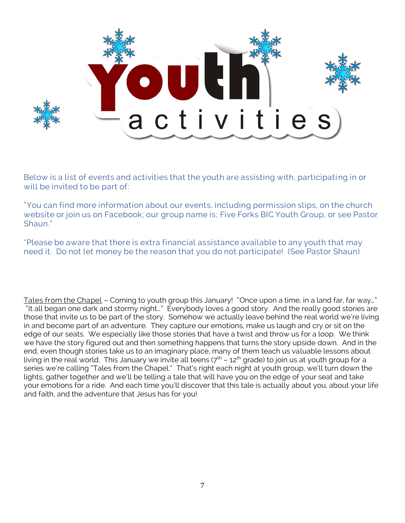

Below is a list of events and activities that the youth are assisting with, participating in or will be invited to be part of:

"You can find more information about our events, including permission slips, on the church website or join us on Facebook; our group name is; Five Forks BIC Youth Group, or see Pastor Shaun."

\*Please be aware that there is extra financial assistance available to any youth that may need it. Do not let money be the reason that you do not participate! (See Pastor Shaun)

Tales from the Chapel – Coming to youth group this January! "Once upon a time, in a land far, far way…" "It all began one dark and stormy night…" Everybody loves a good story. And the really good stories are those that invite us to be part of the story. Somehow we actually leave behind the real world we're living in and become part of an adventure. They capture our emotions, make us laugh and cry or sit on the edge of our seats. We especially like those stories that have a twist and throw us for a loop. We think we have the story figured out and then something happens that turns the story upside down. And in the end, even though stories take us to an imaginary place, many of them teach us valuable lessons about living in the real world. This January we invite all teens  $(7<sup>th</sup> - 12<sup>th</sup>$  grade) to join us at youth group for a series we're calling "Tales from the Chapel." That's right each night at youth group, we'll turn down the lights, gather together and we'll be telling a tale that will have you on the edge of your seat and take your emotions for a ride. And each time you'll discover that this tale is actually about you, about your life and faith, and the adventure that Jesus has for you!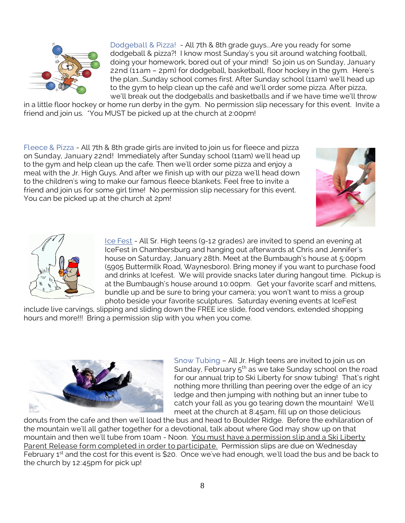

Dodgeball & Pizza! - All 7th & 8th grade guys...Are you ready for some dodgeball & pizza?! I know most Sunday's you sit around watching football, doing your homework, bored out of your mind! So join us on Sunday, January 22nd (11am – 2pm) for dodgeball, basketball, floor hockey in the gym. Here's the plan...Sunday school comes first. After Sunday school (11am) we'll head up to the gym to help clean up the café and we'll order some pizza. After pizza, we'll break out the dodgeballs and basketballs and if we have time we'll throw

in a little floor hockey or home run derby in the gym. No permission slip necessary for this event. Invite a friend and join us. \*You MUST be picked up at the church at 2:00pm!

Fleece & Pizza - All 7th & 8th grade girls are invited to join us for fleece and pizza on Sunday, January 22nd! Immediately after Sunday school (11am) we'll head up to the gym and help clean up the cafe. Then we'll order some pizza and enjoy a meal with the Jr. High Guys. And after we finish up with our pizza we'll head down to the children's wing to make our famous fleece blankets. Feel free to invite a friend and join us for some girl time! No permission slip necessary for this event. You can be picked up at the church at 2pm!





Ice Fest - All Sr. High teens (9-12 grades) are invited to spend an evening at IceFest in Chambersburg and hanging out afterwards at Chris and Jennifer's house on Saturday, January 28th. Meet at the Bumbaugh's house at 5:00pm (5905 Buttermilk Road, Waynesboro). Bring money if you want to purchase food and drinks at Icefest. We will provide snacks later during hangout time. Pickup is at the Bumbaugh's house around 10:00pm. Get your favorite scarf and mittens, bundle up and be sure to bring your camera; you won't want to miss a group photo beside your favorite sculptures. Saturday evening events at IceFest

include live carvings, slipping and sliding down the FREE ice slide, food vendors, extended shopping hours and more!!! Bring a permission slip with you when you come.



Snow Tubing – All Jr. High teens are invited to join us on Sunday, February  $5<sup>th</sup>$  as we take Sunday school on the road for our annual trip to Ski Liberty for snow tubing! That's right nothing more thrilling than peering over the edge of an icy ledge and then jumping with nothing but an inner tube to catch your fall as you go tearing down the mountain! We'll meet at the church at 8:45am, fill up on those delicious

donuts from the cafe and then we'll load the bus and head to Boulder Ridge. Before the exhilaration of the mountain we'll all gather together for a devotional, talk about where God may show up on that mountain and then we'll tube from 10am - Noon. You must have a permission slip and a Ski Liberty Parent Release form completed in order to participate. Permission slips are due on Wednesday February 1<sup>st</sup> and the cost for this event is \$20. Once we've had enough, we'll load the bus and be back to the church by 12:45pm for pick up!